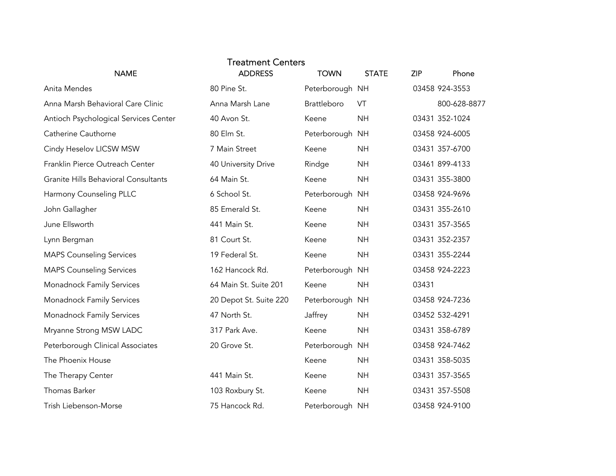| <b>NAME</b>                           | <b>Treatment Centers</b><br><b>ADDRESS</b> | <b>TOWN</b>     | <b>STATE</b> | <b>ZIP</b> | Phone          |
|---------------------------------------|--------------------------------------------|-----------------|--------------|------------|----------------|
| Anita Mendes                          | 80 Pine St.                                | Peterborough NH |              |            | 03458 924-3553 |
| Anna Marsh Behavioral Care Clinic     | Anna Marsh Lane                            | Brattleboro     | VT           |            | 800-628-8877   |
| Antioch Psychological Services Center | 40 Avon St.                                | Keene           | <b>NH</b>    |            | 03431 352-1024 |
| Catherine Cauthorne                   | 80 Elm St.                                 | Peterborough NH |              |            | 03458 924-6005 |
| Cindy Heselov LICSW MSW               | 7 Main Street                              | Keene           | <b>NH</b>    |            | 03431 357-6700 |
| Franklin Pierce Outreach Center       | 40 University Drive                        | Rindge          | <b>NH</b>    |            | 03461 899-4133 |
| Granite Hills Behavioral Consultants  | 64 Main St.                                | Keene           | <b>NH</b>    |            | 03431 355-3800 |
| Harmony Counseling PLLC               | 6 School St.                               | Peterborough NH |              |            | 03458 924-9696 |
| John Gallagher                        | 85 Emerald St.                             | Keene           | <b>NH</b>    |            | 03431 355-2610 |
| June Ellsworth                        | 441 Main St.                               | Keene           | <b>NH</b>    |            | 03431 357-3565 |
| Lynn Bergman                          | 81 Court St.                               | Keene           | <b>NH</b>    |            | 03431 352-2357 |
| <b>MAPS Counseling Services</b>       | 19 Federal St.                             | Keene           | <b>NH</b>    |            | 03431 355-2244 |
| <b>MAPS Counseling Services</b>       | 162 Hancock Rd.                            | Peterborough NH |              |            | 03458 924-2223 |
| Monadnock Family Services             | 64 Main St. Suite 201                      | Keene           | <b>NH</b>    | 03431      |                |
| Monadnock Family Services             | 20 Depot St. Suite 220                     | Peterborough NH |              |            | 03458 924-7236 |
| Monadnock Family Services             | 47 North St.                               | Jaffrey         | <b>NH</b>    |            | 03452 532-4291 |
| Mryanne Strong MSW LADC               | 317 Park Ave.                              | Keene           | <b>NH</b>    |            | 03431 358-6789 |
| Peterborough Clinical Associates      | 20 Grove St.                               | Peterborough NH |              |            | 03458 924-7462 |
| The Phoenix House                     |                                            | Keene           | <b>NH</b>    |            | 03431 358-5035 |
| The Therapy Center                    | 441 Main St.                               | Keene           | <b>NH</b>    |            | 03431 357-3565 |
| Thomas Barker                         | 103 Roxbury St.                            | Keene           | <b>NH</b>    |            | 03431 357-5508 |
| Trish Liebenson-Morse                 | 75 Hancock Rd.                             | Peterborough NH |              |            | 03458 924-9100 |